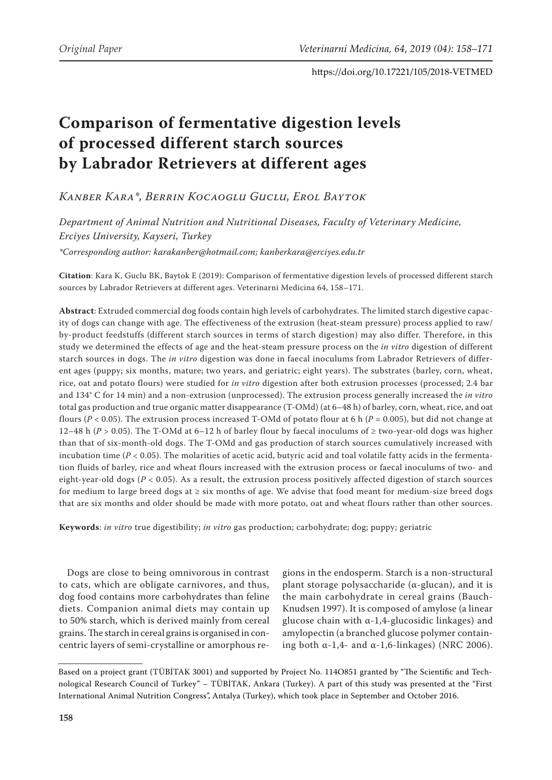# **Comparison of fermentative digestion levels of processed different starch sources by Labrador Retrievers at different ages**

# *Kanber Kara\*, Berrin Kocaoglu Guclu, Erol Baytok*

*Department of Animal Nutrition and Nutritional Diseases, Faculty of Veterinary Medicine, Erciyes University, Kayseri, Turkey \*Corresponding author: karakanber@hotmail.com; kanberkara@erciyes.edu.tr*

**Citation**: Kara K, Guclu BK, Baytok E (2019): Comparison of fermentative digestion levels of processed different starch sources by Labrador Retrievers at different ages. Veterinarni Medicina 64, 158–171.

**Abstract**: Extruded commercial dog foods contain high levels of carbohydrates. The limited starch digestive capacity of dogs can change with age. The effectiveness of the extrusion (heat-steam pressure) process applied to raw/ by-product feedstuffs (different starch sources in terms of starch digestion) may also differ. Therefore, in this study we determined the effects of age and the heat-steam pressure process on the *in vitro* digestion of different starch sources in dogs. The *in vitro* digestion was done in faecal inoculums from Labrador Retrievers of different ages (puppy; six months, mature; two years, and geriatric; eight years). The substrates (barley, corn, wheat, rice, oat and potato flours) were studied for *in vitro* digestion after both extrusion processes (processed; 2.4 bar and 134° C for 14 min) and a non-extrusion (unprocessed). The extrusion process generally increased the *in vitro*  total gas production and true organic matter disappearance (T-OMd) (at 6–48 h) of barley, corn, wheat, rice, and oat flours (*P* < 0.05). The extrusion process increased T-OMd of potato flour at 6 h (*P* = 0.005), but did not change at 12–48 h ( $P > 0.05$ ). The T-OMd at 6–12 h of barley flour by faecal inoculums of  $\geq$  two-year-old dogs was higher than that of six-month-old dogs. The T-OMd and gas production of starch sources cumulatively increased with incubation time ( $P < 0.05$ ). The molarities of acetic acid, butyric acid and toal volatile fatty acids in the fermentation fluids of barley, rice and wheat flours increased with the extrusion process or faecal inoculums of two- and eight-year-old dogs (*P* < 0.05). As a result, the extrusion process positively affected digestion of starch sources for medium to large breed dogs at ≥ six months of age. We advise that food meant for medium-size breed dogs that are six months and older should be made with more potato, oat and wheat flours rather than other sources.

**Keywords**: *in vitro* true digestibility; *in vitro* gas production; carbohydrate; dog; puppy; geriatric

Dogs are close to being omnivorous in contrast to cats, which are obligate carnivores, and thus, dog food contains more carbohydrates than feline diets. Companion animal diets may contain up to 50% starch, which is derived mainly from cereal grains. The starch in cereal grains is organised in concentric layers of semi-crystalline or amorphous regions in the endosperm. Starch is a non-structural plant storage polysaccharide ( $\alpha$ -glucan), and it is the main carbohydrate in cereal grains (Bauch-Knudsen 1997). It is composed of amylose (a linear glucose chain with α-1,4-glucosidic linkages) and amylopectin (a branched glucose polymer containing both  $\alpha$ -1,4- and  $\alpha$ -1,6-linkages) (NRC 2006).

Based on a project grant (TÜBİTAK 3001) and supported by Project No. 114O851 granted by "The Scientific and Technological Research Council of Turkey" – TÜBİTAK, Ankara (Turkey). A part of this study was presented at the "First International Animal Nutrition Congress", Antalya (Turkey), which took place in September and October 2016.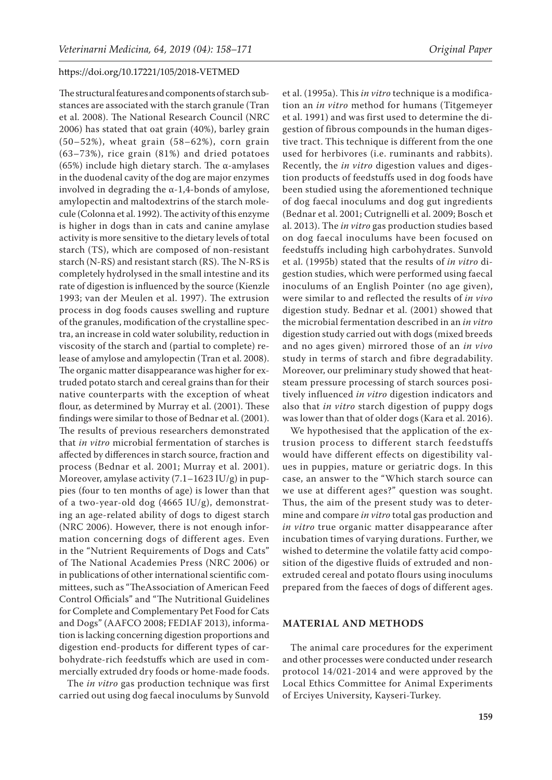The structural features and components of starch substances are associated with the starch granule (Tran et al. 2008). The National Research Council (NRC 2006) has stated that oat grain (40%), barley grain (50–52%), wheat grain (58–62%), corn grain (63–73%), rice grain (81%) and dried potatoes (65%) include high dietary starch. The α-amylases in the duodenal cavity of the dog are major enzymes involved in degrading the  $\alpha$ -1,4-bonds of amylose, amylopectin and maltodextrins of the starch molecule (Colonna et al. 1992). The activity of this enzyme is higher in dogs than in cats and canine amylase activity is more sensitive to the dietary levels of total starch (TS), which are composed of non-resistant starch (N-RS) and resistant starch (RS). The N-RS is completely hydrolysed in the small intestine and its rate of digestion is influenced by the source (Kienzle 1993; van der Meulen et al. 1997). The extrusion process in dog foods causes swelling and rupture of the granules, modification of the crystalline spectra, an increase in cold water solubility, reduction in viscosity of the starch and (partial to complete) release of amylose and amylopectin (Tran et al. 2008). The organic matter disappearance was higher for extruded potato starch and cereal grains than for their native counterparts with the exception of wheat flour, as determined by Murray et al. (2001). These findings were similar to those of Bednar et al. (2001). The results of previous researchers demonstrated that *in vitro* microbial fermentation of starches is affected by differences in starch source, fraction and process (Bednar et al. 2001; Murray et al. 2001). Moreover, amylase activity (7.1–1623 IU/g) in puppies (four to ten months of age) is lower than that of a two-year-old dog (4665 IU/g), demonstrating an age-related ability of dogs to digest starch (NRC 2006). However, there is not enough information concerning dogs of different ages. Even in the "Nutrient Requirements of Dogs and Cats" of The National Academies Press (NRC 2006) or in publications of other international scientific committees, such as "TheAssociation of American Feed Control Officials" and "The Nutritional Guidelines for Complete and Complementary Pet Food for Cats and Dogs" (AAFCO 2008; FEDIAF 2013), information is lacking concerning digestion proportions and digestion end-products for different types of carbohydrate-rich feedstuffs which are used in commercially extruded dry foods or home-made foods.

The *in vitro* gas production technique was first carried out using dog faecal inoculums by Sunvold

et al. (1995a). This *in vitro* technique is a modification an *in vitro* method for humans (Titgemeyer et al. 1991) and was first used to determine the digestion of fibrous compounds in the human digestive tract. This technique is different from the one used for herbivores (i.e. ruminants and rabbits). Recently, the *in vitro* digestion values and digestion products of feedstuffs used in dog foods have been studied using the aforementioned technique of dog faecal inoculums and dog gut ingredients (Bednar et al. 2001; Cutrignelli et al. 2009; Bosch et al. 2013). The *in vitro* gas production studies based on dog faecal inoculums have been focused on feedstuffs including high carbohydrates. Sunvold et al. (1995b) stated that the results of *in vitro* digestion studies, which were performed using faecal inoculums of an English Pointer (no age given), were similar to and reflected the results of *in vivo* digestion study. Bednar et al. (2001) showed that the microbial fermentation described in an *in vitro* digestion study carried out with dogs (mixed breeds and no ages given) mirrored those of an *in vivo* study in terms of starch and fibre degradability. Moreover, our preliminary study showed that heatsteam pressure processing of starch sources positively influenced *in vitro* digestion indicators and also that *in vitro* starch digestion of puppy dogs was lower than that of older dogs (Kara et al. 2016).

We hypothesised that the application of the extrusion process to different starch feedstuffs would have different effects on digestibility values in puppies, mature or geriatric dogs. In this case, an answer to the "Which starch source can we use at different ages?" question was sought. Thus, the aim of the present study was to determine and compare *in vitro* total gas production and *in vitro* true organic matter disappearance after incubation times of varying durations. Further, we wished to determine the volatile fatty acid composition of the digestive fluids of extruded and nonextruded cereal and potato flours using inoculums prepared from the faeces of dogs of different ages.

#### **MATERIAL AND METHODS**

The animal care procedures for the experiment and other processes were conducted under research protocol 14/021-2014 and were approved by the Local Ethics Committee for Animal Experiments of Erciyes University, Kayseri-Turkey.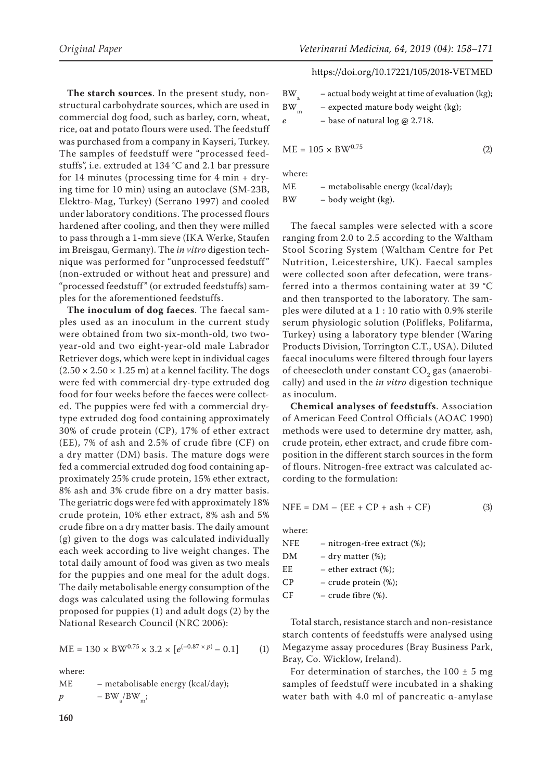**The starch sources**. In the present study, nonstructural carbohydrate sources, which are used in commercial dog food, such as barley, corn, wheat, rice, oat and potato flours were used. The feedstuff was purchased from a company in Kayseri, Turkey. The samples of feedstuff were "processed feedstuffs", i.e. extruded at 134 °C and 2.1 bar pressure for 14 minutes (processing time for 4 min + drying time for 10 min) using an autoclave (SM-23B, Elektro-Mag, Turkey) (Serrano 1997) and cooled under laboratory conditions. The processed flours hardened after cooling, and then they were milled to pass through a 1-mm sieve (IKA Werke, Staufen im Breisgau, Germany). The *in vitro* digestion technique was performed for "unprocessed feedstuff " (non-extruded or without heat and pressure) and "processed feedstuff" (or extruded feedstuffs) samples for the aforementioned feedstuffs.

**The inoculum of dog faeces**. The faecal samples used as an inoculum in the current study were obtained from two six-month-old, two twoyear-old and two eight-year-old male Labrador Retriever dogs, which were kept in individual cages  $(2.50 \times 2.50 \times 1.25 \text{ m})$  at a kennel facility. The dogs were fed with commercial dry-type extruded dog food for four weeks before the faeces were collected. The puppies were fed with a commercial drytype extruded dog food containing approximately 30% of crude protein (CP), 17% of ether extract (EE), 7% of ash and 2.5% of crude fibre (CF) on a dry matter (DM) basis. The mature dogs were fed a commercial extruded dog food containing approximately 25% crude protein, 15% ether extract, 8% ash and 3% crude fibre on a dry matter basis. The geriatric dogs were fed with approximately 18% crude protein, 10% ether extract, 8% ash and 5% crude fibre on a dry matter basis. The daily amount (g) given to the dogs was calculated individually each week according to live weight changes. The total daily amount of food was given as two meals for the puppies and one meal for the adult dogs. The daily metabolisable energy consumption of the dogs was calculated using the following formulas proposed for puppies (1) and adult dogs (2) by the National Research Council (NRC 2006):

 $ME = 130 \times BW^{0.75} \times 3.2 \times [e^{(-0.87 \times p)} - 0.1]$  (1)

where:

ME – metabolisable energy (kcal/day);  
\n
$$
p
$$
 – BW<sub>a</sub>/BW<sub>m</sub>;

#### https://doi.org/10.17221/105/2018-VETMED

 $\begin{array}{lll} \mathrm{BW} & \quad \mathrm{--\,actual\,body\,weight\,at\,time\,of\,evaluation\,(kg)}; \\ \mathrm{BW} & \quad \mathrm{--\,expected\;matter\,body\,weight\,(kg)}; \end{array}$  $-$  expected mature body weight (kg); *e* – base of natural log @ 2.718.

$$
ME = 105 \times BW^{0.75}
$$
 (2)

where:

ME – metabolisable energy (kcal/day); BW – body weight (kg).

The faecal samples were selected with a score ranging from 2.0 to 2.5 according to the Waltham Stool Scoring System (Waltham Centre for Pet Nutrition, Leicestershire, UK). Faecal samples were collected soon after defecation, were transferred into a thermos containing water at 39 °C and then transported to the laboratory. The samples were diluted at a 1 : 10 ratio with 0.9% sterile serum physiologic solution (Polifleks, Polifarma, Turkey) using a laboratory type blender (Waring Products Division, Torrington C.T., USA). Diluted faecal inoculums were filtered through four layers of cheesecloth under constant  $CO<sub>2</sub>$  gas (anaerobically) and used in the *in vitro* digestion technique as inoculum.

**Chemical analyses of feedstuffs**. Association of American Feed Control Officials (AOAC 1990) methods were used to determine dry matter, ash, crude protein, ether extract, and crude fibre composition in the different starch sources in the form of flours. Nitrogen-free extract was calculated according to the formulation:

$$
NFE = DM - (EE + CP + ash + CF)
$$
 (3)

where:

| <b>NFE</b> | - nitrogen-free extract (%); |
|------------|------------------------------|
| DM         | $-$ dry matter $(\%)$ ;      |
| EE.        | $-$ ether extract $(\%)$ ;   |
| CP.        | $-$ crude protein $(\%)$ ;   |
| CF.        | $-$ crude fibre $(\%)$ .     |

Total starch, resistance starch and non-resistance starch contents of feedstuffs were analysed using Megazyme assay procedures (Bray Business Park, Bray, Co. Wicklow, Ireland).

For determination of starches, the  $100 \pm 5$  mg samples of feedstuff were incubated in a shaking water bath with 4.0 ml of pancreatic α-amylase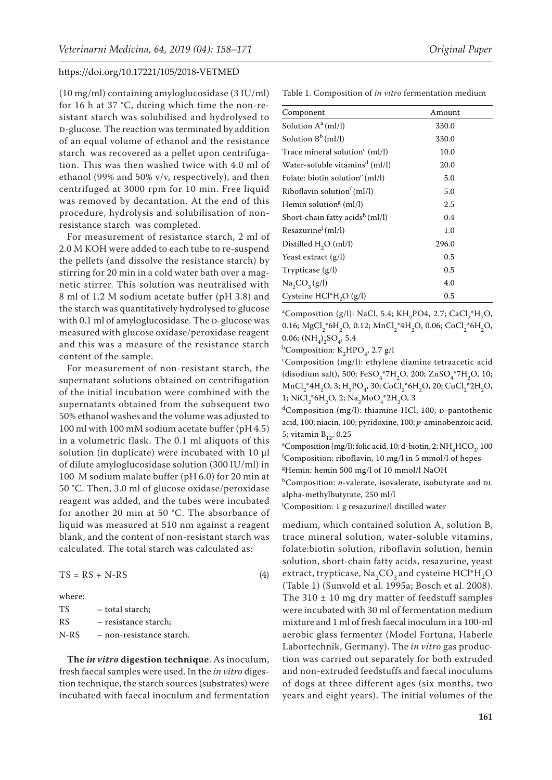(10 mg/ml) containing amyloglucosidase (3 IU/ml) for 16 h at 37 °C, during which time the non-resistant starch was solubilised and hydrolysed to d-glucose. The reaction was terminated by addition of an equal volume of ethanol and the resistance starch was recovered as a pellet upon centrifugation. This was then washed twice with 4.0 ml of ethanol (99% and 50% v/v, respectively), and then centrifuged at 3000 rpm for 10 min. Free liquid was removed by decantation. At the end of this procedure, hydrolysis and solubilisation of nonresistance starch was completed.

For measurement of resistance starch, 2 ml of 2.0 M KOH were added to each tube to re-suspend the pellets (and dissolve the resistance starch) by stirring for 20 min in a cold water bath over a magnetic stirrer. This solution was neutralised with 8 ml of 1.2 M sodium acetate buffer (pH 3.8) and the starch was quantitatively hydrolysed to glucose with 0.1 ml of amyloglucosidase. The D-glucose was measured with glucose oxidase/peroxidase reagent and this was a measure of the resistance starch content of the sample.

For measurement of non-resistant starch, the supernatant solutions obtained on centrifugation of the initial incubation were combined with the supernatants obtained from the subsequent two 50% ethanol washes and the volume was adjusted to 100 ml with 100 mM sodium acetate buffer (pH 4.5) in a volumetric flask. The 0.1 ml aliquots of this solution (in duplicate) were incubated with 10 μl of dilute amyloglucosidase solution (300 IU/ml) in 100 M sodium malate buffer (pH 6.0) for 20 min at 50 °C. Then, 3.0 ml of glucose oxidase/peroxidase reagent was added, and the tubes were incubated for another 20 min at 50 °C. The absorbance of liquid was measured at 510 nm against a reagent blank, and the content of non-resistant starch was calculated. The total starch was calculated as:

$$
TS = RS + N-RS \tag{4}
$$

where: TS – total starch; RS – resistance starch; N-RS – non-resistance starch.

**The** *in vitro* **digestion technique**. As inoculum, fresh faecal samples were used. In the *in vitro* digestion technique, the starch sources (substrates) were incubated with faecal inoculum and fermentation Table 1. Composition of *in vitro* fermentation medium

| Component                                        | Amount |
|--------------------------------------------------|--------|
|                                                  |        |
| Solution $A^a$ (ml/l)                            | 330.0  |
| Solution $B^b$ (ml/l)                            | 330.0  |
| Trace mineral solution <sup>c</sup> (ml/l)       | 10.0   |
| Water-soluble vitamins <sup>d</sup> (ml/l)       | 20.0   |
| Folate: biotin solution <sup>e</sup> (ml/l)      | 5.0    |
| Riboflavin solution <sup>f</sup> (ml/l)          | 5.0    |
| Hemin solution <sup>g</sup> (ml/l)               | 2.5    |
| Short-chain fatty acids <sup>h</sup> (ml/l)      | 0.4    |
| Resazurine <sup>i</sup> (ml/l)                   | 1.0    |
| Distilled $H_2O$ (ml/l)                          | 296.0  |
| Yeast extract (g/l)                              | 0.5    |
| Trypticase $(g/l)$                               | 0.5    |
| $\text{Na}_2\text{CO}_3\left(\frac{g}{l}\right)$ | 4.0    |
| Cysteine $HCI^*H_2O$ (g/l)                       | 0.5    |

<sup>a</sup>Composition (g/l): NaCl, 5.4; KH<sub>2</sub>PO4, 2.7; CaCl<sub>2</sub>\*H<sub>2</sub>O, 0.16; MgCl<sub>2</sub>\*6H<sub>2</sub>O, 0.12; MnCl<sub>2</sub>\*4H<sub>2</sub>O, 0.06; CoCl<sub>2</sub>\*6H<sub>2</sub>O, 0.06;  $(NH_4)_2SO_4$ , 5.4

<sup>b</sup>Composition: K<sub>2</sub>HPO<sub>4</sub>, 2.7 g/l

c Composition (mg/l): ethylene diamine tetraacetic acid (disodium salt), 500; FeSO<sub>4</sub>\*7H<sub>2</sub>O, 200; ZnSO<sub>4</sub>\*7H<sub>2</sub>O, 10;  $\rm MnCl_2^*4H_2O$ , 3;  $\rm H_3PO_4$ , 30;  $\rm CoCl_2^*6H_2O$ , 20;  $\rm CuCl_2^*2H_2O$ , 1; NiCl<sub>2</sub>\*6H<sub>2</sub>O, 2; Na<sub>2</sub>MoO<sub>4</sub>\*2H<sub>2</sub>O, 3

 $d$ Composition (mg/l): thiamine-HCl, 100;  $D$ -pantothenic acid, 100; niacin, 100; pyridoxine, 100; *p*-aminobenzoic acid, 5; vitamin  $B_{12}$ , 0.25

<sup>e</sup> Composition (mg/l): folic acid, 10; d-biotin, 2;  $NH<sub>4</sub> HCO<sub>3</sub>$ , 100 f Composition: riboflavin, 10 mg/l in 5 mmol/l of hepes g Hemin: hemin 500 mg/l of 10 mmol/l NaOH

hComposition: *n*-valerate, isovalerate, isobutyrate and DL alpha-methylbutyrate, 250 ml/l

i Composition: 1 g resazurine/l distilled water

medium, which contained solution A, solution B, trace mineral solution, water-soluble vitamins, folate:biotin solution, riboflavin solution, hemin solution, short-chain fatty acids, resazurine, yeast extract, trypticase,  $\text{Na}_2\text{CO}_3$  and cysteine HCl\*H<sub>2</sub>O (Table 1) (Sunvold et al. 1995a; Bosch et al. 2008). The  $310 \pm 10$  mg dry matter of feedstuff samples were incubated with 30 ml of fermentation medium mixture and 1 ml of fresh faecal inoculum in a 100-ml aerobic glass fermenter (Model Fortuna, Haberle Labortechnik, Germany). The *in vitro* gas production was carried out separately for both extruded and non-extruded feedstuffs and faecal inoculums of dogs at three different ages (six months, two years and eight years). The initial volumes of the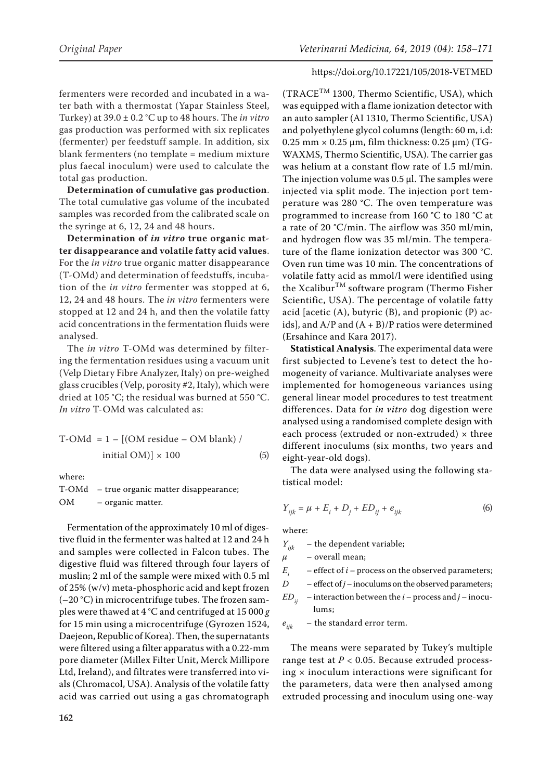fermenters were recorded and incubated in a water bath with a thermostat (Yapar Stainless Steel, Turkey) at 39.0 ± 0.2 °C up to 48 hours. The *in vitro* gas production was performed with six replicates (fermenter) per feedstuff sample. In addition, six blank fermenters (no template = medium mixture plus faecal inoculum) were used to calculate the total gas production.

**Determination of cumulative gas production**. The total cumulative gas volume of the incubated samples was recorded from the calibrated scale on the syringe at 6, 12, 24 and 48 hours.

**Determination of** *in vitro* **true organic matter disappearance and volatile fatty acid values**. For the *in vitro* true organic matter disappearance (T-OMd) and determination of feedstuffs, incubation of the *in vitro* fermenter was stopped at 6, 12, 24 and 48 hours. The *in vitro* fermenters were stopped at 12 and 24 h, and then the volatile fatty acid concentrations in the fermentation fluids were analysed.

The *in vitro* T-OMd was determined by filtering the fermentation residues using a vacuum unit (Velp Dietary Fibre Analyzer, Italy) on pre-weighed glass crucibles (Velp, porosity #2, Italy), which were dried at 105 °C; the residual was burned at 550 °C. *In vitro* T-OMd was calculated as:

$$
T-CMd = 1 - [(OM residue - OM blank) / \text{initial OM}] \times 100
$$
 (5)

where:

T-OMd – true organic matter disappearance; OM – organic matter.

Fermentation of the approximately 10 ml of digestive fluid in the fermenter was halted at 12 and 24 h and samples were collected in Falcon tubes. The digestive fluid was filtered through four layers of muslin; 2 ml of the sample were mixed with 0.5 ml of 25% (w/v) meta-phosphoric acid and kept frozen  $(-20 \degree C)$  in microcentrifuge tubes. The frozen samples were thawed at 4 °C and centrifuged at 15 000 *g* for 15 min using a microcentrifuge (Gyrozen 1524, Daejeon, Republic of Korea). Then, the supernatants were filtered using a filter apparatus with a 0.22-mm pore diameter (Millex Filter Unit, Merck Millipore Ltd, Ireland), and filtrates were transferred into vials (Chromacol, USA). Analysis of the volatile fatty acid was carried out using a gas chromatograph

(TRACETM 1300, Thermo Scientific, USA), which was equipped with a flame ionization detector with an auto sampler (AI 1310, Thermo Scientific, USA) and polyethylene glycol columns (length: 60 m, i.d:  $0.25$  mm  $\times$  0.25 µm, film thickness: 0.25 µm) (TG-WAXMS, Thermo Scientific, USA). The carrier gas was helium at a constant flow rate of 1.5 ml/min. The injection volume was  $0.5 \mu$ . The samples were injected via split mode. The injection port temperature was 280 °C. The oven temperature was programmed to increase from 160 °C to 180 °C at a rate of 20 °C/min. The airflow was 350 ml/min, and hydrogen flow was 35 ml/min. The temperature of the flame ionization detector was 300 °C. Oven run time was 10 min. The concentrations of volatile fatty acid as mmol/l were identified using the Xcalibur<sup>TM</sup> software program (Thermo Fisher Scientific, USA). The percentage of volatile fatty acid [acetic  $(A)$ , butyric  $(B)$ , and propionic  $(P)$  acids], and  $A/P$  and  $(A + B)/P$  ratios were determined (Ersahince and Kara 2017).

**Statistical Analysis**. The experimental data were first subjected to Levene's test to detect the homogeneity of variance. Multivariate analyses were implemented for homogeneous variances using general linear model procedures to test treatment differences. Data for *in vitro* dog digestion were analysed using a randomised complete design with each process (extruded or non-extruded) × three different inoculums (six months, two years and eight-year-old dogs).

The data were analysed using the following statistical model:

$$
Y_{ijk} = \mu + E_i + D_j + ED_{ij} + e_{ijk}
$$
 (6)

where:

 $Y_{ijk}$  – the dependent variable;  $\mu$  – overall mean; *Ei* – effect of *i –* process on the observed parameters; *D* – effect of *j* – inoculums on the observed parameters;

 $ED_{ii}$  – interaction between the  $i$  – process and  $j$  – inoculums;

 $e_{ijk}$  – the standard error term.

The means were separated by Tukey's multiple range test at  $P < 0.05$ . Because extruded processing  $\times$  inoculum interactions were significant for the parameters, data were then analysed among extruded processing and inoculum using one-way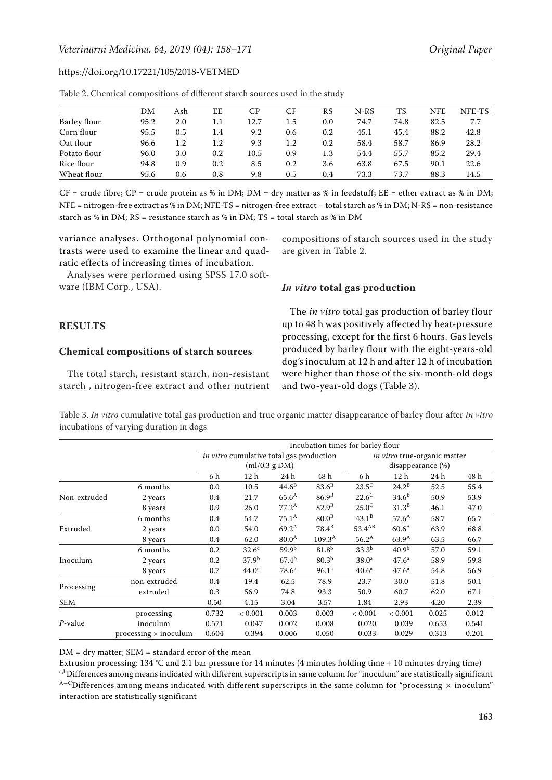|              | DM   | Ash | EE  | $\mathbf{C}$ | CF  | RS  | N-RS | TS   | <b>NFE</b> | NFE-TS |
|--------------|------|-----|-----|--------------|-----|-----|------|------|------------|--------|
| Barley flour | 95.2 | 2.0 | 1.1 | 12.7         | 1.5 | 0.0 | 74.7 | 74.8 | 82.5       | 7.7    |
| Corn flour   | 95.5 | 0.5 | 1.4 | 9.2          | 0.6 | 0.2 | 45.1 | 45.4 | 88.2       | 42.8   |
| Oat flour    | 96.6 | 1.2 | 1.2 | 9.3          | 1.2 | 0.2 | 58.4 | 58.7 | 86.9       | 28.2   |
| Potato flour | 96.0 | 3.0 | 0.2 | 10.5         | 0.9 | 1.3 | 54.4 | 55.7 | 85.2       | 29.4   |
| Rice flour   | 94.8 | 0.9 | 0.2 | 8.5          | 0.2 | 3.6 | 63.8 | 67.5 | 90.1       | 22.6   |
| Wheat flour  | 95.6 | 0.6 | 0.8 | 9.8          | 0.5 | 0.4 | 73.3 | 73.7 | 88.3       | 14.5   |

Table 2. Chemical compositions of different starch sources used in the study

 $CF = crude fibre; CP = crude protein as % in DM; DM = dry matter as % in feedbackiff; EE = ether extract as % in DM; I.$ NFE = nitrogen-free extract as % in DM; NFE-TS = nitrogen-free extract – total starch as % in DM; N-RS = non-resistance starch as % in DM; RS = resistance starch as % in DM; TS = total starch as % in DM

variance analyses. Orthogonal polynomial contrasts were used to examine the linear and quadratic effects of increasing times of incubation.

Analyses were performed using SPSS 17.0 software (IBM Corp., USA).

#### **RESULTS**

#### **Chemical compositions of starch sources**

The total starch, resistant starch, non-resistant starch , nitrogen-free extract and other nutrient compositions of starch sources used in the study are given in Table 2.

#### *In vitro* **total gas production**

The *in vitro* total gas production of barley flour up to 48 h was positively affected by heat-pressure processing, except for the first 6 hours. Gas levels produced by barley flour with the eight-years-old dog's inoculum at 12 h and after 12 h of incubation were higher than those of the six-month-old dogs and two-year-old dogs (Table 3).

Table 3. *In vitro* cumulative total gas production and true organic matter disappearance of barley flour after *in vitro* incubations of varying duration in dogs

|                                    |                              |       |                                          |                   | Incubation times for barley flour |                              |                   |       |       |  |  |
|------------------------------------|------------------------------|-------|------------------------------------------|-------------------|-----------------------------------|------------------------------|-------------------|-------|-------|--|--|
|                                    |                              |       | in vitro cumulative total gas production |                   |                                   | in vitro true-organic matter |                   |       |       |  |  |
|                                    |                              |       | $m!/0.3$ g DM $)$                        |                   |                                   |                              | disappearance (%) |       |       |  |  |
|                                    |                              | 6 h   | 12 <sub>h</sub>                          | 24 h              | 48 h                              | 6 h                          | 12 h              | 24 h  | 48 h  |  |  |
|                                    | 6 months                     | 0.0   | 10.5                                     | $44.6^{\rm B}$    | $83.6^B$                          | $23.5^{\circ}$               | $24.2^B$          | 52.5  | 55.4  |  |  |
| Non-extruded                       | 2 years                      | 0.4   | 21.7                                     | $65.6^{A}$        | 86.9 <sup>B</sup>                 | $22.6^{\circ}$               | $34.6^B$          | 50.9  | 53.9  |  |  |
| Extruded<br>Inoculum<br>Processing | 8 years                      | 0.9   | 26.0                                     | $77.2^{\rm A}$    | 82.9 <sup>B</sup>                 | $25.0^{\circ}$               | 31.3 <sup>B</sup> | 46.1  | 47.0  |  |  |
|                                    | 6 months                     | 0.4   | 54.7                                     | $75.1^{\text{A}}$ | $80.0^{\rm B}$                    | $43.1^B$                     | $57.6^{\rm A}$    | 58.7  | 65.7  |  |  |
|                                    | 2 years                      | 0.0   | 54.0                                     | $69.2^{\rm A}$    | $78.4^B$                          | $53.4^{AB}$                  | 60.6 <sup>A</sup> | 63.9  | 68.8  |  |  |
|                                    | 8 years                      | 0.4   | 62.0                                     | 80.0 <sup>A</sup> | $109.3^{\rm A}$                   | $56.2^{\rm A}$               | 63.9 <sup>A</sup> | 63.5  | 66.7  |  |  |
|                                    | 6 months                     | 0.2   | 32.6 <sup>c</sup>                        | $59.9^{b}$        | 81.8 <sup>b</sup>                 | 33.3 <sup>b</sup>            | 40.9 <sup>b</sup> | 57.0  | 59.1  |  |  |
|                                    | 2 years                      | 0.2   | 37.9 <sup>b</sup>                        | $67.4^{b}$        | 80.3 <sup>b</sup>                 | 38.0 <sup>a</sup>            | $47.6^{\circ}$    | 58.9  | 59.8  |  |  |
| SEM<br>$P$ -value                  | 8 years                      | 0.7   | 44.0 <sup>a</sup>                        | 78.6 <sup>a</sup> | 96.1 <sup>a</sup>                 | 40.6 <sup>a</sup>            | 47.6 <sup>a</sup> | 54.8  | 56.9  |  |  |
|                                    | non-extruded                 | 0.4   | 19.4                                     | 62.5              | 78.9                              | 23.7                         | 30.0              | 51.8  | 50.1  |  |  |
|                                    | extruded                     | 0.3   | 56.9                                     | 74.8              | 93.3                              | 50.9                         | 60.7              | 62.0  | 67.1  |  |  |
|                                    |                              | 0.50  | 4.15                                     | 3.04              | 3.57                              | 1.84                         | 2.93              | 4.20  | 2.39  |  |  |
|                                    | processing                   | 0.732 | ${}< 0.001$                              | 0.003             | 0.003                             | < 0.001                      | < 0.001           | 0.025 | 0.012 |  |  |
|                                    | inoculum                     | 0.571 | 0.047                                    | 0.002             | 0.008                             | 0.020                        | 0.039             | 0.653 | 0.541 |  |  |
|                                    | processing $\times$ inoculum | 0.604 | 0.394                                    | 0.006             | 0.050                             | 0.033                        | 0.029             | 0.313 | 0.201 |  |  |

DM = dry matter; SEM = standard error of the mean

Extrusion processing: 134 °C and 2.1 bar pressure for 14 minutes (4 minutes holding time + 10 minutes drying time) a,bDifferences among means indicated with different superscripts in same column for "inoculum" are statistically significant  $A-C$ Differences among means indicated with different superscripts in the same column for "processing  $\times$  inoculum" interaction are statistically significant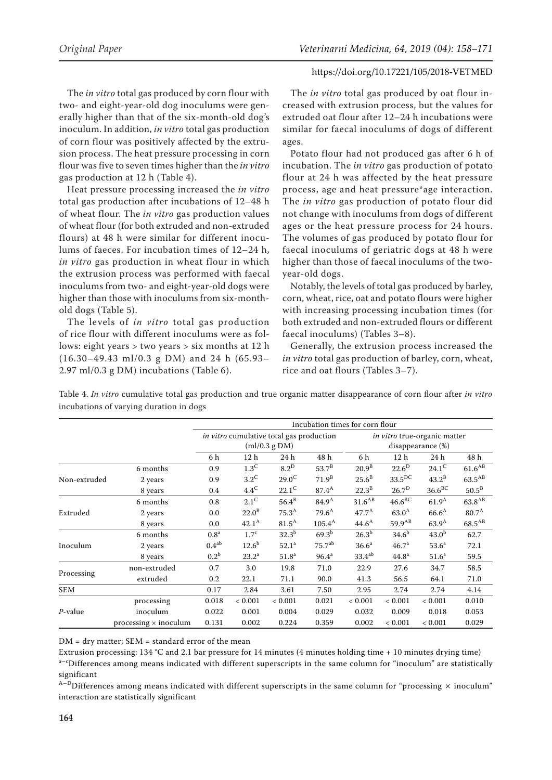The *in vitro* total gas produced by corn flour with two- and eight-year-old dog inoculums were generally higher than that of the six-month-old dog's inoculum. In addition, *in vitro* total gas production of corn flour was positively affected by the extrusion process. The heat pressure processing in corn flour was five to seven times higher than the *in vitro* gas production at 12 h (Table 4).

Heat pressure processing increased the *in vitro*  total gas production after incubations of 12–48 h of wheat flour. The *in vitro* gas production values of wheat flour (for both extruded and non-extruded flours) at 48 h were similar for different inoculums of faeces. For incubation times of 12–24 h, *in vitro* gas production in wheat flour in which the extrusion process was performed with faecal inoculums from two- and eight-year-old dogs were higher than those with inoculums from six-monthold dogs (Table 5).

The levels of *in vitro* total gas production of rice flour with different inoculums were as follows: eight years > two years > six months at 12 h (16.30–49.43 ml/0.3 g DM) and 24 h (65.93– 2.97 ml/0.3 g DM) incubations (Table 6).

The *in vitro* total gas produced by oat flour increased with extrusion process, but the values for extruded oat flour after 12–24 h incubations were similar for faecal inoculums of dogs of different ages.

Potato flour had not produced gas after 6 h of incubation. The *in vitro* gas production of potato flour at 24 h was affected by the heat pressure process, age and heat pressure\*age interaction. The *in vitro* gas production of potato flour did not change with inoculums from dogs of different ages or the heat pressure process for 24 hours. The volumes of gas produced by potato flour for faecal inoculums of geriatric dogs at 48 h were higher than those of faecal inoculums of the twoyear-old dogs.

Notably, the levels of total gas produced by barley, corn, wheat, rice, oat and potato flours were higher with increasing processing incubation times (for both extruded and non-extruded flours or different faecal inoculums) (Tables 3–8).

Generally, the extrusion process increased the *in vitro* total gas production of barley, corn, wheat, rice and oat flours (Tables 3–7).

incubations of varying duration in dogs Incubation times for corn flour *in vitro* cumulative total gas production (ml/0.3 g DM) *in vitro* true-organic matter disappearance (%) 6 h 12 h 24 h 48 h 6 h 12 h 24 h 48 h Non-extruded 6 months 0.9 1.3<sup>C</sup> 8.2<sup>D</sup> 53.7<sup>B</sup> 20.9<sup>B</sup> 22.6<sup>D</sup> 24.1<sup>C</sup> 61.6<sup>AB</sup> 2 years 63.5 and  $2^{0.9}$   $3.2^{\text{C}}$   $29.0^{\text{C}}$   $71.9^{\text{B}}$   $25.6^{\text{B}}$   $33.5^{\text{DC}}$   $43.2^{\text{B}}$   $63.5^{\text{AB}}$ 8 years 6.4 4.4<sup>C</sup> 22.1<sup>C</sup> 87.4<sup>A</sup> 22.3<sup>B</sup> 26.7<sup>D</sup> 36.6<sup>BC</sup> 50.5<sup>B</sup> Extruded 6 months 0.8 2.1<sup>C</sup> 56.4<sup>B</sup> 84.9<sup>A</sup> 31.6<sup>AB</sup> 46.6<sup>BC</sup> 61.9<sup>A</sup> 63.8<sup>AB</sup> 2 years 65.6  $0.0$   $22.0^B$   $75.3^A$   $79.6^A$   $47.7^A$   $63.0^A$   $66.6^A$   $80.7^A$ 8 years 63.9<sup>A</sup> 68.5<sup>AB</sup> 68.5<sup>AB</sup> 68.5<sup>AB</sup> 68.5<sup>AB</sup> Inoculum 6 months  $0.8^a$   $1.7^c$   $32.3^b$   $69.3^b$   $26.3^b$   $34.6^b$   $43.0^b$   $62.7$ 2 years  $0.4^{ab}$   $12.6^{b}$   $52.1^{a}$   $75.7^{ab}$   $36.6^{a}$   $46.7^{a}$   $53.6^{a}$   $72.1$ 8 years 60.2<sup>b</sup> 23.2<sup>a</sup> 51.8<sup>a</sup> 96.4<sup>a</sup> 33.4<sup>ab</sup> 44.8<sup>a</sup> 51.6<sup>a</sup> 59.5 Processing non-extruded 0.7 3.0 19.8 71.0 22.9 27.6 34.7 58.5 extruded 0.2 22.1 71.1 90.0 41.3 56.5 64.1 71.0

Table 4. *In vitro* cumulative total gas production and true organic matter disappearance of corn flour after *in vitro*

DM = dry matter; SEM = standard error of the mean

Extrusion processing: 134 °C and 2.1 bar pressure for 14 minutes (4 minutes holding time + 10 minutes drying time) a-cDifferences among means indicated with different superscripts in the same column for "inoculum" are statistically significant

SEM 0.17 2.84 3.61 7.50 2.95 2.74 2.74 4.14

processing 0.018 < 0.001 < 0.001 0.021 < 0.001 < 0.001 < 0.001 0.010 inoculum 0.022 0.001 0.004 0.029 0.032 0.009 0.018 0.053 processing × inoculum 0.131 0.002 0.224 0.359 0.002 < 0.001 < 0.001 0.029

 $A-D$ Differences among means indicated with different superscripts in the same column for "processing  $\times$  inoculum" interaction are statistically significant

*P*-value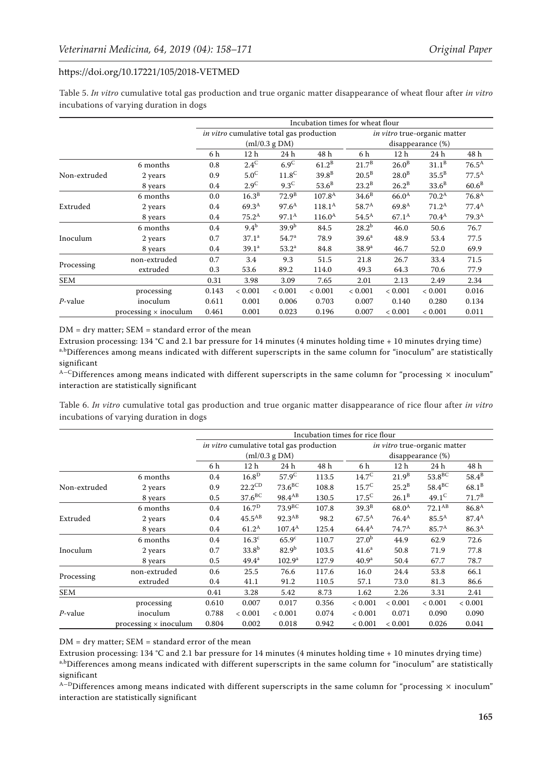Table 5. *In vitro* cumulative total gas production and true organic matter disappearance of wheat flour after *in vitro* incubations of varying duration in dogs

|                       |                              |       |                   |                                          | Incubation times for wheat flour |                   |                              |                   |                   |  |  |  |
|-----------------------|------------------------------|-------|-------------------|------------------------------------------|----------------------------------|-------------------|------------------------------|-------------------|-------------------|--|--|--|
|                       |                              |       |                   | in vitro cumulative total gas production |                                  |                   | in vitro true-organic matter |                   |                   |  |  |  |
|                       |                              |       |                   | (ml/0.3 g DM)                            |                                  |                   |                              | disappearance (%) |                   |  |  |  |
|                       |                              | 6 h   | 12 h              | 24 h                                     | 48 h                             | 6 h               | 12 h                         | 24 h              | 48 h              |  |  |  |
|                       | 6 months                     | 0.8   | $2.4^C$           | $6.9^{\circ}$                            | $61.2^B$                         | $21.7^{\rm B}$    | 26.0 <sup>B</sup>            | $31.1^B$          | $76.5^{\text{A}}$ |  |  |  |
| Non-extruded          | 2 years                      | 0.9   | 5.0 <sup>C</sup>  | $11.8^C$                                 | $39.8^{B}$                       | $20.5^B$          | 28.0 <sup>B</sup>            | $35.5^B$          | $77.5^{\text{A}}$ |  |  |  |
| Extruded              | 8 years                      | 0.4   | $2.9^{\circ}$     | $9.3^{\circ}$                            | $53.6^B$                         | $23.2^B$          | $26.2^B$                     | $33.6^B$          | $60.6^{\rm B}$    |  |  |  |
|                       | 6 months                     | 0.0   | 16.3 <sup>B</sup> | 72.9 <sup>B</sup>                        | $107.8^{A}$                      | $34.6^B$          | 66.0 <sup>A</sup>            | $70.2^{\rm A}$    | 76.8 <sup>A</sup> |  |  |  |
|                       | 2 years                      | 0.4   | 69.3 <sup>A</sup> | 97.6 <sup>A</sup>                        | $118.1^{\rm A}$                  | $58.7^{A}$        | 69.8 <sup>A</sup>            | $71.2^A$          | $77.4^{\rm A}$    |  |  |  |
|                       | 8 years                      | 0.4   | $75.2^{\rm A}$    | $97.1^{\text{A}}$                        | $116.0^{\rm A}$                  | $54.5^{\rm A}$    | $67.1^{\rm A}$               | $70.4^{\rm A}$    | 79.3 <sup>A</sup> |  |  |  |
|                       | 6 months                     | 0.4   | 9.4 <sup>b</sup>  | 39.9 <sup>b</sup>                        | 84.5                             | $28.2^{b}$        | 46.0                         | 50.6              | 76.7              |  |  |  |
|                       | 2 years                      | 0.7   | $37.1^a$          | 54.7 <sup>a</sup>                        | 78.9                             | 39.6 <sup>a</sup> | 48.9                         | 53.4              | 77.5              |  |  |  |
| Inoculum              | 8 years                      | 0.4   | 39.1 <sup>a</sup> | $53.2^a$                                 | 84.8                             | 38.9 <sup>a</sup> | 46.7                         | 52.0              | 69.9              |  |  |  |
|                       | non-extruded                 | 0.7   | 3.4               | 9.3                                      | 51.5                             | 21.8              | 26.7                         | 33.4              | 71.5              |  |  |  |
|                       | extruded                     | 0.3   | 53.6              | 89.2                                     | 114.0                            | 49.3              | 64.3                         | 70.6              | 77.9              |  |  |  |
| SEM                   |                              | 0.31  | 3.98              | 3.09                                     | 7.65                             | 2.01              | 2.13                         | 2.49              | 2.34              |  |  |  |
|                       | processing                   | 0.143 | < 0.001           | < 0.001                                  | ${}< 0.001$                      | < 0.001           | < 0.001                      | ${}< 0.001$       | 0.016             |  |  |  |
| Processing<br>P-value | inoculum                     | 0.611 | 0.001             | 0.006                                    | 0.703                            | 0.007             | 0.140                        | 0.280             | 0.134             |  |  |  |
|                       | processing $\times$ inoculum | 0.461 | 0.001             | 0.023                                    | 0.196                            | 0.007             | < 0.001                      | < 0.001           | 0.011             |  |  |  |

DM = dry matter; SEM = standard error of the mean

Extrusion processing: 134 °C and 2.1 bar pressure for 14 minutes (4 minutes holding time + 10 minutes drying time) a,bDifferences among means indicated with different superscripts in the same column for "inoculum" are statistically significant

 $A-C$ Differences among means indicated with different superscripts in the same column for "processing  $\times$  inoculum" interaction are statistically significant

Table 6. *In vitro* cumulative total gas production and true organic matter disappearance of rice flour after *in vitro* incubations of varying duration in dogs

|              |                              |                           |                    |                                          |       | Incubation times for rice flour |                 |                              |                   |  |  |
|--------------|------------------------------|---------------------------|--------------------|------------------------------------------|-------|---------------------------------|-----------------|------------------------------|-------------------|--|--|
|              |                              |                           |                    | in vitro cumulative total gas production |       |                                 |                 | in vitro true-organic matter |                   |  |  |
|              |                              |                           |                    | $m!/0.3$ g DM $)$                        |       | disappearance (%)               |                 |                              |                   |  |  |
|              |                              | 6 h                       | 12 h               | 24 h                                     | 48 h  | 6 h                             | 12 <sub>h</sub> | 24 h                         | 48 h              |  |  |
|              | 6 months                     | 0.4                       | 16.8 <sup>D</sup>  | 57.9 <sup>C</sup>                        | 113.5 | $14.7^{\circ}$                  | $21.9^{B}$      | $53.8^{\rm BC}$              | $58.4^B$          |  |  |
| Non-extruded | 2 years                      | 0.9                       | $22.2^{\text{CD}}$ | $73.6^{\text{BC}}$                       | 108.8 | $15.7^{\circ}$                  | $25.2^{\rm B}$  | $58.4^{\text{BC}}$           | $68.1^{B}$        |  |  |
| Processing   | 8 years                      | $37.6^{\text{BC}}$<br>0.5 |                    | $98.4^{AB}$                              | 130.5 | $17.5^{\circ}$                  | $26.1^B$        | $49.1^{\circ}$               | $71.7^{\rm B}$    |  |  |
|              | 6 months                     | 0.4                       | 16.7 <sup>D</sup>  | 73.9 <sup>BC</sup>                       | 107.8 | 39.3 <sup>B</sup>               | $68.0^{A}$      | $72.1^{AB}$                  | 86.8 <sup>A</sup> |  |  |
| Extruded     | 2 years                      | 0.4                       | $45.5^{AB}$        | $92.3^{AB}$                              | 98.2  | $67.5^{\rm A}$                  | $76.4^{\rm A}$  | $85.5^{\rm A}$               | $87.4^{\rm A}$    |  |  |
|              | 8 years                      | 0.4                       | $61.2^{\rm A}$     | $107.4^{\rm A}$                          | 125.4 | $64.4^{\text{A}}$               | $74.7^{\rm A}$  | $85.7^{A}$                   | $86.3^{A}$        |  |  |
|              | 6 months                     | 0.4                       | 16.3 <sup>c</sup>  | 65.9 <sup>c</sup>                        | 110.7 | 27.0 <sup>b</sup>               | 44.9            | 62.9                         | 72.6              |  |  |
| Inoculum     | 2 years                      | 0.7                       | 33.8 <sup>b</sup>  | 82.9 <sup>b</sup>                        | 103.5 | 41.6 <sup>a</sup>               | 50.8            | 71.9                         | 77.8              |  |  |
|              | 8 years                      | 0.5                       | $49.4^{\rm a}$     | 102.9 <sup>a</sup>                       | 127.9 | 40.9 <sup>a</sup>               | 50.4            | 67.7                         | 78.7              |  |  |
|              | non-extruded                 | 0.6                       | 25.5               | 76.6                                     | 117.6 | 16.0                            | 24.4            | 53.8                         | 66.1              |  |  |
|              | extruded                     | 0.4                       | 41.1               | 91.2                                     | 110.5 | 57.1                            | 73.0            | 81.3                         | 86.6              |  |  |
| <b>SEM</b>   |                              | 0.41                      | 3.28               | 5.42                                     | 8.73  | 1.62                            | 2.26            | 3.31                         | 2.41              |  |  |
|              | processing                   | 0.610                     | 0.007              | 0.017                                    | 0.356 | < 0.001                         | < 0.001         | ${}< 0.001$                  | < 0.001           |  |  |
| P-value      | inoculum                     | 0.788                     | < 0.001            | < 0.001                                  | 0.074 | < 0.001                         | 0.071           | 0.090                        | 0.090             |  |  |
|              | processing $\times$ inoculum | 0.804                     | 0.002              | 0.018                                    | 0.942 | < 0.001                         | < 0.001         | 0.026                        | 0.041             |  |  |

DM = dry matter; SEM = standard error of the mean

Extrusion processing: 134 °C and 2.1 bar pressure for 14 minutes (4 minutes holding time + 10 minutes drying time) a,bDifferences among means indicated with different superscripts in the same column for "inoculum" are statistically significant

 $A-D$ Differences among means indicated with different superscripts in the same column for "processing  $\times$  inoculum" interaction are statistically significant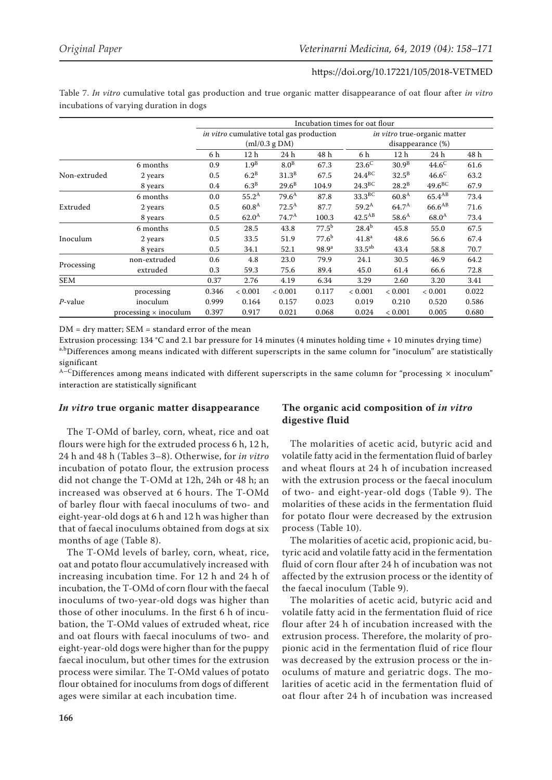Table 7. *In vitro* cumulative total gas production and true organic matter disappearance of oat flour after *in vitro* incubations of varying duration in dogs

|                                                             |                              | Incubation times for oat flour |                   |                                                 |                   |                    |                              |                    |       |  |  |  |
|-------------------------------------------------------------|------------------------------|--------------------------------|-------------------|-------------------------------------------------|-------------------|--------------------|------------------------------|--------------------|-------|--|--|--|
|                                                             |                              |                                |                   | <i>in vitro</i> cumulative total gas production |                   |                    | in vitro true-organic matter |                    |       |  |  |  |
|                                                             |                              |                                |                   | $m!/0.3$ g DM $)$                               |                   | disappearance (%)  |                              |                    |       |  |  |  |
|                                                             |                              | 6 h                            | 12 h              | 24 h                                            | 48 h              | 6 h                | 12 <sub>h</sub>              | 24 h               | 48 h  |  |  |  |
|                                                             | 6 months                     | 0.9                            | 1.9 <sup>B</sup>  | 8.0 <sup>B</sup>                                | 67.3              | $23.6^{\circ}$     | 30.9 <sup>B</sup>            | $44.6^{\circ}$     | 61.6  |  |  |  |
| Non-extruded                                                | 2 years                      | 0.5                            | $6.2^B$           | 31.3 <sup>B</sup>                               | 67.5              | $24.4^{\text{BC}}$ | $32.5^{\rm B}$               | $46.6^{\circ}$     | 63.2  |  |  |  |
| Extruded<br>Inoculum<br>Processing<br><b>SEM</b><br>P-value | 8 years                      | 0.4                            | 6.3 <sup>B</sup>  | $29.6^B$                                        | 104.9             | $24.3\text{BC}$    | $28.2^B$                     | $49.6^{\text{BC}}$ | 67.9  |  |  |  |
|                                                             | 6 months                     | 0.0                            | $55.2^{\rm A}$    | $79.6^{\text{A}}$                               | 87.8              | 33.3 <sup>BC</sup> | 60.8 <sup>A</sup>            | $65.4^{AB}$        | 73.4  |  |  |  |
|                                                             | 2 years                      | 0.5                            | 60.8 <sup>A</sup> | $72.5^{\rm A}$                                  | 87.7              | $59.2^{\rm A}$     | $64.7^{\rm A}$               | $66.6^{AB}$        | 71.6  |  |  |  |
|                                                             | 8 years                      | 0.5                            | $62.0^{A}$        | $74.7^{\rm A}$                                  | 100.3             | $42.5^{AB}$        | $58.6^{A}$                   | $68.0^{A}$         | 73.4  |  |  |  |
|                                                             | 6 months                     | 0.5                            | 28.5              | 43.8                                            | $77.5^{\rm b}$    | $28.4^{b}$         | 45.8                         | 55.0               | 67.5  |  |  |  |
|                                                             | 2 years                      | 0.5                            | 33.5              | 51.9                                            | 77.6 <sup>b</sup> | 41.8 <sup>a</sup>  | 48.6                         | 56.6               | 67.4  |  |  |  |
|                                                             | 8 years                      | 0.5                            | 34.1              | 52.1                                            | 98.9 <sup>a</sup> | $33.5^{ab}$        | 43.4                         | 58.8               | 70.7  |  |  |  |
|                                                             | non-extruded                 | 0.6                            | 4.8               | 23.0                                            | 79.9              | 24.1               | 30.5                         | 46.9               | 64.2  |  |  |  |
|                                                             | extruded                     | 0.3                            | 59.3              | 75.6                                            | 89.4              | 45.0               | 61.4                         | 66.6               | 72.8  |  |  |  |
|                                                             |                              | 0.37                           | 2.76              | 4.19                                            | 6.34              | 3.29               | 2.60                         | 3.20               | 3.41  |  |  |  |
|                                                             | processing                   | 0.346                          | < 0.001           | < 0.001                                         | 0.117             | < 0.001            | < 0.001                      | ${}< 0.001$        | 0.022 |  |  |  |
|                                                             | inoculum                     | 0.999                          | 0.164             | 0.157                                           | 0.023             | 0.019              | 0.210                        | 0.520              | 0.586 |  |  |  |
|                                                             | processing $\times$ inoculum | 0.397                          | 0.917             | 0.021                                           | 0.068             | 0.024              | < 0.001                      | 0.005              | 0.680 |  |  |  |

DM = dry matter; SEM = standard error of the mean

Extrusion processing: 134 °C and 2.1 bar pressure for 14 minutes (4 minutes holding time + 10 minutes drying time) a,bDifferences among means indicated with different superscripts in the same column for "inoculum" are statistically significant

 $A-C$ Differences among means indicated with different superscripts in the same column for "processing  $\times$  inoculum" interaction are statistically significant

#### *In vitro* **true organic matter disappearance**

The T-OMd of barley, corn, wheat, rice and oat flours were high for the extruded process 6 h, 12 h, 24 h and 48 h (Tables 3–8). Otherwise, for *in vitro* incubation of potato flour, the extrusion process did not change the T-OMd at 12h, 24h or 48 h; an increased was observed at 6 hours. The T-OMd of barley flour with faecal inoculums of two- and eight-year-old dogs at 6 h and 12 h was higher than that of faecal inoculums obtained from dogs at six months of age (Table 8).

The T-OMd levels of barley, corn, wheat, rice, oat and potato flour accumulatively increased with increasing incubation time. For 12 h and 24 h of incubation, the T-OMd of corn flour with the faecal inoculums of two-year-old dogs was higher than those of other inoculums. In the first 6 h of incubation, the T-OMd values of extruded wheat, rice and oat flours with faecal inoculums of two- and eight-year-old dogs were higher than for the puppy faecal inoculum, but other times for the extrusion process were similar. The T-OMd values of potato flour obtained for inoculums from dogs of different ages were similar at each incubation time.

## **The organic acid composition of** *in vitro*  **digestive fluid**

The molarities of acetic acid, butyric acid and volatile fatty acid in the fermentation fluid of barley and wheat flours at 24 h of incubation increased with the extrusion process or the faecal inoculum of two- and eight-year-old dogs (Table 9). The molarities of these acids in the fermentation fluid for potato flour were decreased by the extrusion process (Table 10).

The molarities of acetic acid, propionic acid, butyric acid and volatile fatty acid in the fermentation fluid of corn flour after 24 h of incubation was not affected by the extrusion process or the identity of the faecal inoculum (Table 9).

The molarities of acetic acid, butyric acid and volatile fatty acid in the fermentation fluid of rice flour after 24 h of incubation increased with the extrusion process. Therefore, the molarity of propionic acid in the fermentation fluid of rice flour was decreased by the extrusion process or the inoculums of mature and geriatric dogs. The molarities of acetic acid in the fermentation fluid of oat flour after 24 h of incubation was increased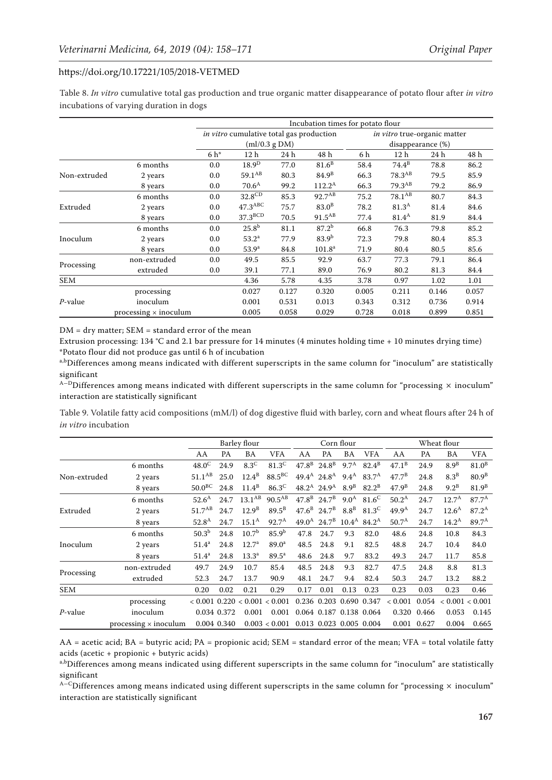Table 8. *In vitro* cumulative total gas production and true organic matter disappearance of potato flour after *in vitro* incubations of varying duration in dogs

|                                    |                              |       |                                                 |       | Incubation times for potato flour |       |                              |       |                                                                                                         |
|------------------------------------|------------------------------|-------|-------------------------------------------------|-------|-----------------------------------|-------|------------------------------|-------|---------------------------------------------------------------------------------------------------------|
|                                    |                              |       | <i>in vitro</i> cumulative total gas production |       |                                   |       | in vitro true-organic matter |       |                                                                                                         |
|                                    |                              |       | $m!/0.3$ g DM $)$                               |       |                                   |       | disappearance (%)            |       |                                                                                                         |
|                                    |                              | $6h*$ | 12 <sub>h</sub>                                 | 24 h  | 48 h                              | 6 h   | 12 h                         | 24 h  | 48 h                                                                                                    |
|                                    | 6 months                     | 0.0   | 18.9 <sup>D</sup>                               | 77.0  | $81.6^B$                          | 58.4  | $74.4^{B}$                   | 78.8  | 86.2                                                                                                    |
| Non-extruded                       | 2 years                      | 0.0   | 59.1 <sup>AB</sup>                              | 80.3  | 84.9 <sup>B</sup>                 | 66.3  | $78.3^{AB}$                  | 79.5  | 85.9                                                                                                    |
|                                    | 8 years                      | 0.0   | 70.6 <sup>A</sup>                               | 99.2  | $112.2^{\rm A}$                   | 66.3  | $79.3^{AB}$                  | 79.2  | 86.9<br>84.3<br>84.6<br>84.4<br>85.2<br>85.3<br>85.6<br>86.4<br>84.4<br>1.01<br>0.057<br>0.914<br>0.851 |
|                                    | 6 months                     | 0.0   | 32.8 <sup>CD</sup>                              | 85.3  | $92.7^{AB}$                       | 75.2  | $78.1^{AB}$                  | 80.7  |                                                                                                         |
|                                    | 2 years                      | 0.0   | $47.3$ <sup>ABC</sup>                           | 75.7  | 83.0 <sup>B</sup>                 | 78.2  | 81.3 <sup>A</sup>            | 81.4  |                                                                                                         |
|                                    | 8 years                      | 0.0   | 37.3 <sup>BCD</sup>                             | 70.5  | $91.5^{AB}$                       | 77.4  | $81.4^{\rm A}$               | 81.9  |                                                                                                         |
|                                    | 6 months                     | 0.0   | 25.8 <sup>b</sup>                               | 81.1  | $87.2^{b}$                        | 66.8  | 76.3                         | 79.8  |                                                                                                         |
|                                    | 2 years                      | 0.0   | $53.2^{\rm a}$                                  | 77.9  | $83.9^{b}$                        | 72.3  | 79.8                         | 80.4  |                                                                                                         |
| Extruded<br>Inoculum<br>Processing | 8 years                      | 0.0   | 53.9 <sup>a</sup>                               | 84.8  | 101.8 <sup>a</sup>                | 71.9  | 80.4                         | 80.5  |                                                                                                         |
|                                    | non-extruded                 | 0.0   | 49.5                                            | 85.5  | 92.9                              | 63.7  | 77.3                         | 79.1  |                                                                                                         |
|                                    | extruded                     | 0.0   | 39.1                                            | 77.1  | 89.0                              | 76.9  | 80.2                         | 81.3  |                                                                                                         |
| SEM                                |                              |       | 4.36                                            | 5.78  | 4.35                              | 3.78  | 0.97                         | 1.02  |                                                                                                         |
|                                    | processing                   |       | 0.027                                           | 0.127 | 0.320                             | 0.005 | 0.211                        | 0.146 |                                                                                                         |
| $P$ -value                         | inoculum                     |       | 0.001                                           | 0.531 | 0.013                             | 0.343 | 0.312                        | 0.736 |                                                                                                         |
|                                    | processing $\times$ inoculum |       | 0.005                                           | 0.058 | 0.029                             | 0.728 | 0.018                        | 0.899 |                                                                                                         |

DM = dry matter; SEM = standard error of the mean

Extrusion processing: 134 °C and 2.1 bar pressure for 14 minutes (4 minutes holding time + 10 minutes drying time) \*Potato flour did not produce gas until 6 h of incubation

a,bDifferences among means indicated with different superscripts in the same column for "inoculum" are statistically significant

 $A-D$ Differences among means indicated with different superscripts in the same column for "processing  $\times$  inoculum" interaction are statistically significant

Table 9. Volatile fatty acid compositions (mM/l) of dog digestive fluid with barley, corn and wheat flours after 24 h of *in vitro* incubation

|              |                              | Barley flour         |             |                                   |                   |                | Corn flour                          |                   |                | Wheat flour       |       |                   |                   |
|--------------|------------------------------|----------------------|-------------|-----------------------------------|-------------------|----------------|-------------------------------------|-------------------|----------------|-------------------|-------|-------------------|-------------------|
|              |                              | AA                   | <b>PA</b>   | BA                                | <b>VFA</b>        | AA             | PA                                  | BA                | <b>VFA</b>     | AA                | PA    | BA                | <b>VFA</b>        |
|              | 6 months                     | $48.0^{\circ}$       | 24.9        | $8.3^{\circ}$                     | $81.3^C$          | $47.8^{\rm B}$ | $24.8^B$                            | $9.7^{\rm A}$     | $82.4^B$       | $47.1^{\rm B}$    | 24.9  | 8.9 <sup>B</sup>  | 81.0 <sup>B</sup> |
| Non-extruded | 2 years                      | $51.1^{AB}$          | 25.0        | $12.4^B$                          | $88.5^{\rm BC}$   |                | $49.4^{\text{A}}$ 24.8 <sup>A</sup> | $9.4^{\rm A}$     | $83.7^{A}$     | $47.7^{\rm B}$    | 24.8  | $8.3^B$           | 80.9 <sup>B</sup> |
|              | 8 years                      | $50.0$ <sup>BC</sup> | 24.8        | $11.4^B$                          | $86.3^{\circ}$    |                | $48.2^{\rm A}$ 24.9 <sup>A</sup>    | 8.9 <sup>B</sup>  | $82.2^B$       | 47.9 <sup>B</sup> | 24.8  | $9.2^B$           | 81.9 <sup>B</sup> |
|              | 6 months                     | $52.6^{\rm A}$       | 24.7        | 13.1 <sup>AB</sup>                | $90.5^{AB}$       |                | $47.8^{\rm B}$ 24.7 <sup>B</sup>    | 9.0 <sup>A</sup>  | $81.6^{\circ}$ | 50.2 <sup>A</sup> | 24.7  | 12.7 <sup>A</sup> | $87.7^{\rm A}$    |
| Extruded     | 2 years                      | $51.7^{AB}$          | 24.7        | $12.9^{B}$                        | $89.5^B$          |                | $47.6^B$ 24.7 <sup>B</sup>          | $8.8^{\rm B}$     | $81.3^{\circ}$ | 49.9 <sup>A</sup> | 24.7  | $12.6^{\rm A}$    | $87.2^{\rm A}$    |
|              | 8 years                      | 52.8 <sup>A</sup>    | 24.7        | $15.1^{\rm A}$                    | $92.7^{\rm A}$    |                | 49.0 <sup>A</sup> 24.7 <sup>B</sup> | $10.4^{\text{A}}$ | $84.2^{\rm A}$ | $50.7^{\rm A}$    | 24.7  | $14.2^{\rm A}$    | $89.7^{A}$        |
|              | 6 months                     | $50.3^{b}$           | 24.8        | 10.7 <sup>b</sup>                 | 85.9 <sup>b</sup> | 47.8           | 24.7                                | 9.3               | 82.0           | 48.6              | 24.8  | 10.8              | 84.3              |
| Inoculum     | 2 years                      | $51.4^a$             | 24.8        | 12.7 <sup>a</sup>                 | 89.0 <sup>a</sup> | 48.5           | 24.8                                | 9.1               | 82.5           | 48.8              | 24.7  | 10.4              | 84.0              |
|              | 8 years                      | $51.4^a$             | 24.8        | 13.3 <sup>a</sup>                 | 89.5 <sup>a</sup> | 48.6           | 24.8                                | 9.7               | 83.2           | 49.3              | 24.7  | 11.7              | 85.8              |
|              | non-extruded                 | 49.7                 | 24.9        | 10.7                              | 85.4              | 48.5           | 24.8                                | 9.3               | 82.7           | 47.5              | 24.8  | 8.8               | 81.3              |
| Processing   | extruded                     | 52.3                 | 24.7        | 13.7                              | 90.9              | 48.1           | 24.7                                | 9.4               | 82.4           | 50.3              | 24.7  | 13.2              | 88.2              |
| SEM          |                              | 0.20                 | 0.02        | 0.21                              | 0.29              | 0.17           | 0.01                                | 0.13              | 0.23           | 0.23              | 0.03  | 0.23              | 0.46              |
|              | processing                   |                      |             | $< 0.001$ 0.220 $< 0.001 < 0.001$ |                   |                | 0.236 0.203 0.690 0.347             |                   |                | < 0.001           | 0.054 | < 0.001 < 0.001   |                   |
| P-value      | inoculum                     |                      | 0.034 0.372 | 0.001                             | 0.001             |                | 0.064 0.187                         | 0.138 0.064       |                | 0.320             | 0.466 | 0.053             | 0.145             |
|              | processing $\times$ inoculum |                      | 0.004 0.340 |                                   | 0.003 < 0.001     |                | 0.013 0.023 0.005 0.004             |                   |                | 0.001             | 0.627 | 0.004             | 0.665             |

 $AA$  = acetic acid;  $BA$  = butyric acid;  $PA$  = propionic acid;  $SEM$  = standard error of the mean;  $VFA$  = total volatile fatty acids (acetic + propionic + butyric acids)

a,bDifferences among means indicated using different superscripts in the same column for "inoculum" are statistically significant

A<sup>-C</sup>Differences among means indicated using different superscripts in the same column for "processing  $\times$  inoculum" interaction are statistically significant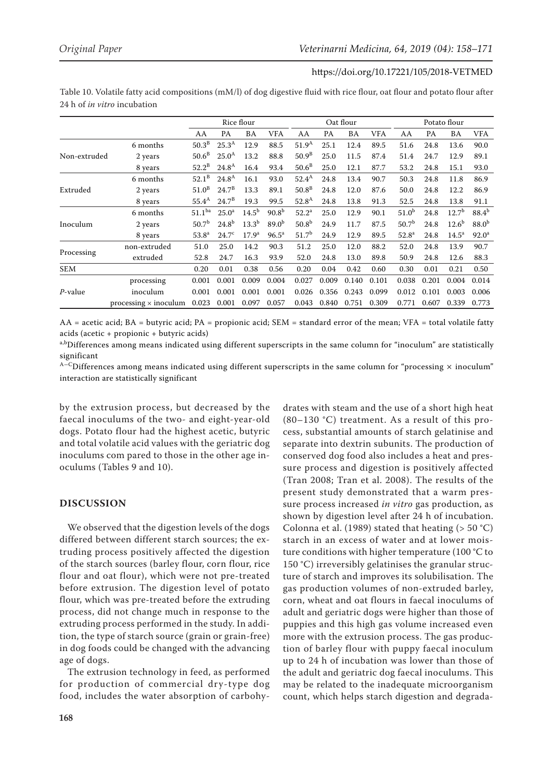Table 10. Volatile fatty acid compositions (mM/l) of dog digestive fluid with rice flour, oat flour and potato flour after 24 h of *in vitro* incubation

|              |                              | Rice flour         |                   |                   |                   |                   |       | Oat flour |            | Potato flour      |       |                   |                   |
|--------------|------------------------------|--------------------|-------------------|-------------------|-------------------|-------------------|-------|-----------|------------|-------------------|-------|-------------------|-------------------|
|              |                              | AA                 | PA                | BA                | VFA               | AA                | PA    | BA        | <b>VFA</b> | AA                | PA    | BA                | <b>VFA</b>        |
|              | 6 months                     | 50.3 <sup>B</sup>  | 25.3 <sup>A</sup> | 12.9              | 88.5              | 51.9 <sup>A</sup> | 25.1  | 12.4      | 89.5       | 51.6              | 24.8  | 13.6              | 90.0              |
| Non-extruded | 2 years                      | 50.6 <sup>B</sup>  | $25.0^{A}$        | 13.2              | 88.8              | 50.9 <sup>B</sup> | 25.0  | 11.5      | 87.4       | 51.4              | 24.7  | 12.9              | 89.1              |
|              | 8 years                      | $52.2^{\rm B}$     | $24.8^{\rm A}$    | 16.4              | 93.4              | 50.6 <sup>B</sup> | 25.0  | 12.1      | 87.7       | 53.2              | 24.8  | 15.1              | 93.0              |
|              | 6 months                     | $52.1^B$           | 24.8 <sup>A</sup> | 16.1              | 93.0              | $52.4^{\rm A}$    | 24.8  | 13.4      | 90.7       | 50.3              | 24.8  | 11.8              | 86.9              |
| Extruded     | 2 years                      | 51.0 <sup>B</sup>  | $24.7^{\rm B}$    | 13.3              | 89.1              | 50.8 <sup>B</sup> | 24.8  | 12.0      | 87.6       | 50.0              | 24.8  | 12.2              | 86.9              |
|              | 8 years                      | $55.4^{\rm A}$     | 24.7 <sup>B</sup> | 19.3              | 99.5              | 52.8 <sup>A</sup> | 24.8  | 13.8      | 91.3       | 52.5              | 24.8  | 13.8              | 91.1              |
|              | 6 months                     | 51.1 <sup>ba</sup> | 25.0 <sup>a</sup> | $14.5^{b}$        | 90.8 <sup>b</sup> | $52.2^a$          | 25.0  | 12.9      | 90.1       | 51.0 <sup>b</sup> | 24.8  | 12.7 <sup>b</sup> | 88.4 <sup>b</sup> |
| Inoculum     | 2 years                      | 50.7 <sup>b</sup>  | $24.8^{b}$        | $13.3^{b}$        | $89.0^{b}$        | 50.8 <sup>b</sup> | 24.9  | 11.7      | 87.5       | 50.7 <sup>b</sup> | 24.8  | 12.6 <sup>b</sup> | 88.0 <sup>b</sup> |
|              | 8 years                      | $53.8^{\rm a}$     | 24.7 <sup>c</sup> | 17.9 <sup>a</sup> | $96.5^{\text{a}}$ | 51.7 <sup>b</sup> | 24.9  | 12.9      | 89.5       | $52.8^{\circ}$    | 24.8  | 14.5 <sup>a</sup> | $92.0^a$          |
|              | non-extruded                 | 51.0               | 25.0              | 14.2              | 90.3              | 51.2              | 25.0  | 12.0      | 88.2       | 52.0              | 24.8  | 13.9              | 90.7              |
| Processing   | extruded                     | 52.8               | 24.7              | 16.3              | 93.9              | 52.0              | 24.8  | 13.0      | 89.8       | 50.9              | 24.8  | 12.6              | 88.3              |
| SEM          |                              | 0.20               | 0.01              | 0.38              | 0.56              | 0.20              | 0.04  | 0.42      | 0.60       | 0.30              | 0.01  | 0.21              | 0.50              |
|              | processing                   | 0.001              | 0.001             | 0.009             | 0.004             | 0.027             | 0.009 | 0.140     | 0.101      | 0.038             | 0.201 | 0.004             | 0.014             |
| P-value      | inoculum                     | 0.001              | 0.001             | 0.001             | 0.001             | 0.026             | 0.356 | 0.243     | 0.099      | 0.012             | 0.101 | 0.003             | 0.006             |
|              | processing $\times$ inoculum | 0.023              | 0.001             | 0.097             | 0.057             | 0.043             | 0.840 | 0.751     | 0.309      | 0.771             | 0.607 | 0.339             | 0.773             |

 $AA$  = acetic acid;  $BA$  = butyric acid;  $PA$  = propionic acid;  $SEM$  = standard error of the mean;  $VFA$  = total volatile fatty acids (acetic + propionic + butyric acids)

a,bDifferences among means indicated using different superscripts in the same column for "inoculum" are statistically significant

 $A-C$ Differences among means indicated using different superscripts in the same column for "processing  $\times$  inoculum" interaction are statistically significant

by the extrusion process, but decreased by the faecal inoculums of the two- and eight-year-old dogs. Potato flour had the highest acetic, butyric and total volatile acid values with the geriatric dog inoculums com pared to those in the other age inoculums (Tables 9 and 10).

#### **DISCUSSION**

We observed that the digestion levels of the dogs differed between different starch sources; the extruding process positively affected the digestion of the starch sources (barley flour, corn flour, rice flour and oat flour), which were not pre-treated before extrusion. The digestion level of potato flour, which was pre-treated before the extruding process, did not change much in response to the extruding process performed in the study. In addition, the type of starch source (grain or grain-free) in dog foods could be changed with the advancing age of dogs.

The extrusion technology in feed, as performed for production of commercial dry-type dog food, includes the water absorption of carbohydrates with steam and the use of a short high heat (80–130 °C) treatment. As a result of this process, substantial amounts of starch gelatinise and separate into dextrin subunits. The production of conserved dog food also includes a heat and pressure process and digestion is positively affected (Tran 2008; Tran et al. 2008). The results of the present study demonstrated that a warm pressure process increased *in vitro* gas production, as shown by digestion level after 24 h of incubation. Colonna et al. (1989) stated that heating  $(> 50 °C)$ starch in an excess of water and at lower moisture conditions with higher temperature (100 °C to 150 °C) irreversibly gelatinises the granular structure of starch and improves its solubilisation. The gas production volumes of non-extruded barley, corn, wheat and oat flours in faecal inoculums of adult and geriatric dogs were higher than those of puppies and this high gas volume increased even more with the extrusion process. The gas production of barley flour with puppy faecal inoculum up to 24 h of incubation was lower than those of the adult and geriatric dog faecal inoculums. This may be related to the inadequate microorganism count, which helps starch digestion and degrada-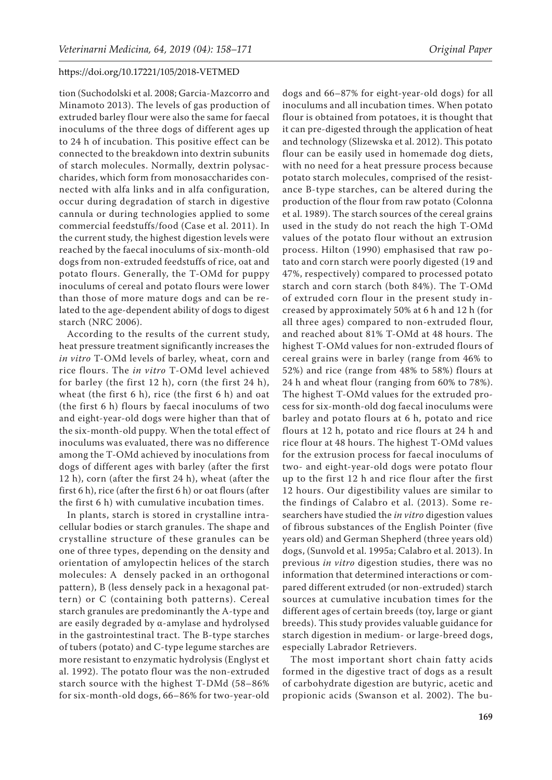tion (Suchodolski et al. 2008; Garcia-Mazcorro and Minamoto 2013). The levels of gas production of extruded barley flour were also the same for faecal inoculums of the three dogs of different ages up to 24 h of incubation. This positive effect can be connected to the breakdown into dextrin subunits of starch molecules. Normally, dextrin polysaccharides, which form from monosaccharides connected with alfa links and in alfa configuration, occur during degradation of starch in digestive cannula or during technologies applied to some commercial feedstuffs/food (Case et al. 2011). In the current study, the highest digestion levels were reached by the faecal inoculums of six-month-old dogs from non-extruded feedstuffs of rice, oat and potato flours. Generally, the T-OMd for puppy inoculums of cereal and potato flours were lower than those of more mature dogs and can be related to the age-dependent ability of dogs to digest starch (NRC 2006).

According to the results of the current study, heat pressure treatment significantly increases the *in vitro* T-OMd levels of barley, wheat, corn and rice flours. The *in vitro* T-OMd level achieved for barley (the first 12 h), corn (the first 24 h), wheat (the first 6 h), rice (the first 6 h) and oat (the first 6 h) flours by faecal inoculums of two and eight-year-old dogs were higher than that of the six-month-old puppy. When the total effect of inoculums was evaluated, there was no difference among the T-OMd achieved by inoculations from dogs of different ages with barley (after the first 12 h), corn (after the first 24 h), wheat (after the first 6 h), rice (after the first 6 h) or oat flours (after the first 6 h) with cumulative incubation times.

In plants, starch is stored in crystalline intracellular bodies or starch granules. The shape and crystalline structure of these granules can be one of three types, depending on the density and orientation of amylopectin helices of the starch molecules: A densely packed in an orthogonal pattern), B (less densely pack in a hexagonal pattern) or C (containing both patterns). Cereal starch granules are predominantly the A-type and are easily degraded by α-amylase and hydrolysed in the gastrointestinal tract. The B-type starches of tubers (potato) and C-type legume starches are more resistant to enzymatic hydrolysis (Englyst et al. 1992). The potato flour was the non-extruded starch source with the highest T-DMd (58–86% for six-month-old dogs, 66–86% for two-year-old

dogs and 66–87% for eight-year-old dogs) for all inoculums and all incubation times. When potato flour is obtained from potatoes, it is thought that it can pre-digested through the application of heat and technology (Slizewska et al. 2012). This potato flour can be easily used in homemade dog diets, with no need for a heat pressure process because potato starch molecules, comprised of the resistance B-type starches, can be altered during the production of the flour from raw potato (Colonna et al. 1989). The starch sources of the cereal grains used in the study do not reach the high T-OMd values of the potato flour without an extrusion process. Hilton (1990) emphasised that raw potato and corn starch were poorly digested (19 and 47%, respectively) compared to processed potato starch and corn starch (both 84%). The T-OMd of extruded corn flour in the present study increased by approximately 50% at 6 h and 12 h (for all three ages) compared to non-extruded flour, and reached about 81% T-OMd at 48 hours. The highest T-OMd values for non-extruded flours of cereal grains were in barley (range from 46% to 52%) and rice (range from 48% to 58%) flours at 24 h and wheat flour (ranging from 60% to 78%). The highest T-OMd values for the extruded process for six-month-old dog faecal inoculums were barley and potato flours at 6 h, potato and rice flours at 12 h, potato and rice flours at 24 h and rice flour at 48 hours. The highest T-OMd values for the extrusion process for faecal inoculums of two- and eight-year-old dogs were potato flour up to the first 12 h and rice flour after the first 12 hours. Our digestibility values are similar to the findings of Calabro et al. (2013). Some researchers have studied the *in vitro* digestion values of fibrous substances of the English Pointer (five years old) and German Shepherd (three years old) dogs, (Sunvold et al. 1995a; Calabro et al. 2013). In previous *in vitro* digestion studies, there was no information that determined interactions or compared different extruded (or non-extruded) starch sources at cumulative incubation times for the different ages of certain breeds (toy, large or giant breeds). This study provides valuable guidance for starch digestion in medium- or large-breed dogs, especially Labrador Retrievers.

The most important short chain fatty acids formed in the digestive tract of dogs as a result of carbohydrate digestion are butyric, acetic and propionic acids (Swanson et al. 2002). The bu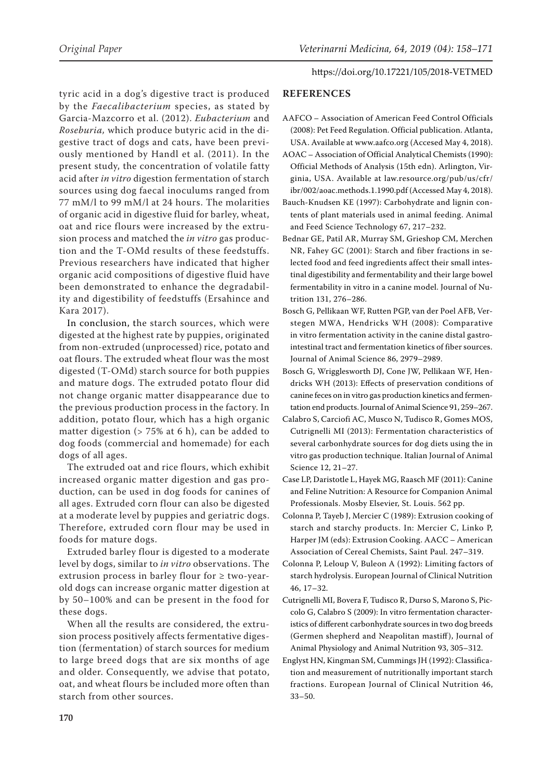tyric acid in a dog's digestive tract is produced by the *Faecalibacterium* species, as stated by Garcia-Mazcorro et al. (2012). *Eubacterium* and *Roseburia,* which produce butyric acid in the digestive tract of dogs and cats, have been previously mentioned by Handl et al. (2011). In the present study, the concentration of volatile fatty acid after *in vitro* digestion fermentation of starch sources using dog faecal inoculums ranged from 77 mM/l to 99 mM/l at 24 hours. The molarities of organic acid in digestive fluid for barley, wheat, oat and rice flours were increased by the extrusion process and matched the *in vitro* gas production and the T-OMd results of these feedstuffs. Previous researchers have indicated that higher organic acid compositions of digestive fluid have been demonstrated to enhance the degradability and digestibility of feedstuffs (Ersahince and Kara 2017).

In conclusion, the starch sources, which were digested at the highest rate by puppies, originated from non-extruded (unprocessed) rice, potato and oat flours. The extruded wheat flour was the most digested (T-OMd) starch source for both puppies and mature dogs. The extruded potato flour did not change organic matter disappearance due to the previous production process in the factory. In addition, potato flour, which has a high organic matter digestion (> 75% at 6 h), can be added to dog foods (commercial and homemade) for each dogs of all ages.

The extruded oat and rice flours, which exhibit increased organic matter digestion and gas production, can be used in dog foods for canines of all ages. Extruded corn flour can also be digested at a moderate level by puppies and geriatric dogs. Therefore, extruded corn flour may be used in foods for mature dogs.

Extruded barley flour is digested to a moderate level by dogs, similar to *in vitro* observations. The extrusion process in barley flour for  $\geq$  two-yearold dogs can increase organic matter digestion at by 50–100% and can be present in the food for these dogs.

When all the results are considered, the extrusion process positively affects fermentative digestion (fermentation) of starch sources for medium to large breed dogs that are six months of age and older. Consequently, we advise that potato, oat, and wheat flours be included more often than starch from other sources.

#### https://doi.org/10.17221/105/2018-VETMED

#### **REFERENCES**

- AAFCO Association of American Feed Control Officials (2008): Pet Feed Regulation. Official publication. Atlanta, USA. Available at www.aafco.org (Accesed May 4, 2018).
- AOAC Association of Official Analytical Chemists (1990): Official Methods of Analysis (15th edn). Arlington, Virginia, USA. Available at law.resource.org/pub/us/cfr/ ibr/002/aoac.methods.1.1990.pdf (Accessed May 4, 2018).
- Bauch-Knudsen KE (1997): Carbohydrate and lignin contents of plant materials used in animal feeding. Animal and Feed Science Technology 67, 217–232.
- Bednar GE, Patil AR, Murray SM, Grieshop CM, Merchen NR, Fahey GC (2001): Starch and fiber fractions in selected food and feed ingredients affect their small intestinal digestibility and fermentability and their large bowel fermentability in vitro in a canine model. Journal of Nutrition 131, 276–286.
- Bosch G, Pellikaan WF, Rutten PGP, van der Poel AFB, Verstegen MWA, Hendricks WH (2008): Comparative in vitro fermentation activity in the canine distal gastrointestinal tract and fermentation kinetics of fiber sources. Journal of Animal Science 86, 2979–2989.
- Bosch G, Wrigglesworth DJ, Cone JW, Pellikaan WF, Hendricks WH (2013): Effects of preservation conditions of canine feces on in vitro gas production kinetics and fermentation end products. Journal of Animal Science 91, 259–267.
- Calabro S, Carciofi AC, Musco N, Tudisco R, Gomes MOS, Cutrignelli MI (2013): Fermentation characteristics of several carbonhydrate sources for dog diets using the in vitro gas production technique. Italian Journal of Animal Science 12, 21–27.
- Case LP, Daristotle L, Hayek MG, Raasch MF (2011): Canine and Feline Nutrition: A Resource for Companion Animal Professionals. Mosby Elsevier, St. Louis. 562 pp.
- Colonna P, Tayeb J, Mercier C (1989): Extrusion cooking of starch and starchy products. In: Mercier C, Linko P, Harper JM (eds): Extrusion Cooking. AACC – American Association of Cereal Chemists, Saint Paul. 247–319.
- Colonna P, Leloup V, Buleon A (1992): Limiting factors of starch hydrolysis. European Journal of Clinical Nutrition 46, 17–32.
- Cutrignelli MI, Bovera F, Tudisco R, Durso S, Marono S, Piccolo G, Calabro S (2009): In vitro fermentation characteristics of different carbonhydrate sources in two dog breeds (Germen shepherd and Neapolitan mastiff), Journal of Animal Physiology and Animal Nutrition 93, 305–312.
- Englyst HN, Kingman SM, Cummings JH (1992): Classification and measurement of nutritionally important starch fractions. European Journal of Clinical Nutrition 46, 33–50.